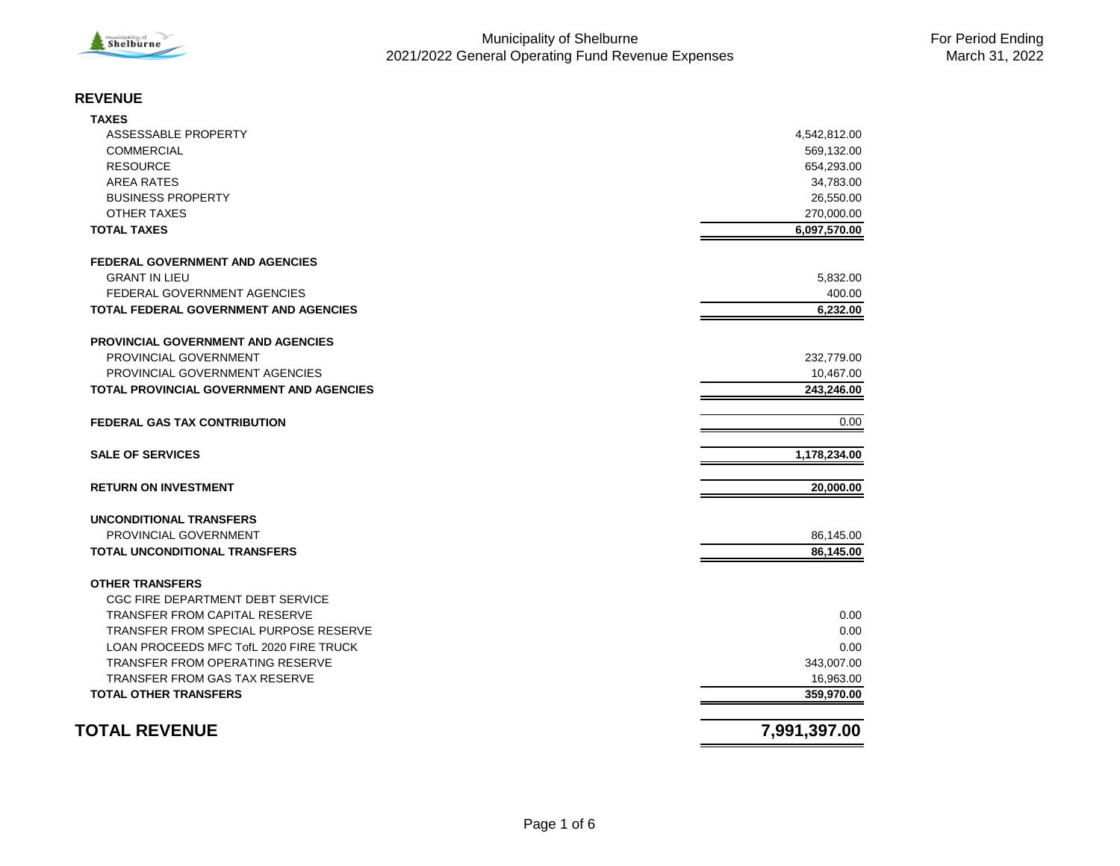

#### **REVENUE**

| <b>TOTAL OTHER TRANSFERS</b>                                   | 359,970.00   |
|----------------------------------------------------------------|--------------|
| <b>TRANSFER FROM GAS TAX RESERVE</b>                           | 16,963.00    |
| <b>TRANSFER FROM OPERATING RESERVE</b>                         | 343,007.00   |
| LOAN PROCEEDS MFC TofL 2020 FIRE TRUCK                         | 0.00         |
| TRANSFER FROM SPECIAL PURPOSE RESERVE                          | 0.00         |
| <b>TRANSFER FROM CAPITAL RESERVE</b>                           | 0.00         |
| CGC FIRE DEPARTMENT DEBT SERVICE                               |              |
| <b>OTHER TRANSFERS</b>                                         |              |
| <b>TOTAL UNCONDITIONAL TRANSFERS</b>                           | 86,145.00    |
| PROVINCIAL GOVERNMENT                                          | 86,145.00    |
| UNCONDITIONAL TRANSFERS                                        |              |
| <b>RETURN ON INVESTMENT</b>                                    | 20,000.00    |
| <b>SALE OF SERVICES</b>                                        | 1,178,234.00 |
| <b>FEDERAL GAS TAX CONTRIBUTION</b>                            | 0.00         |
| <b>TOTAL PROVINCIAL GOVERNMENT AND AGENCIES</b>                | 243,246.00   |
| PROVINCIAL GOVERNMENT AGENCIES                                 | 10,467.00    |
| PROVINCIAL GOVERNMENT                                          | 232,779.00   |
| <b>PROVINCIAL GOVERNMENT AND AGENCIES</b>                      |              |
| <b>TOTAL FEDERAL GOVERNMENT AND AGENCIES</b>                   | 6,232.00     |
| <b>FEDERAL GOVERNMENT AGENCIES</b>                             | 400.00       |
| <b>FEDERAL GOVERNMENT AND AGENCIES</b><br><b>GRANT IN LIEU</b> | 5,832.00     |
| <b>TOTAL TAXES</b>                                             | 6,097,570.00 |
| OTHER TAXES                                                    | 270,000.00   |
| <b>BUSINESS PROPERTY</b>                                       | 26,550.00    |
| <b>AREA RATES</b>                                              | 34,783.00    |
| <b>RESOURCE</b>                                                | 654,293.00   |
| <b>COMMERCIAL</b>                                              | 569,132.00   |
| ASSESSABLE PROPERTY                                            | 4,542,812.00 |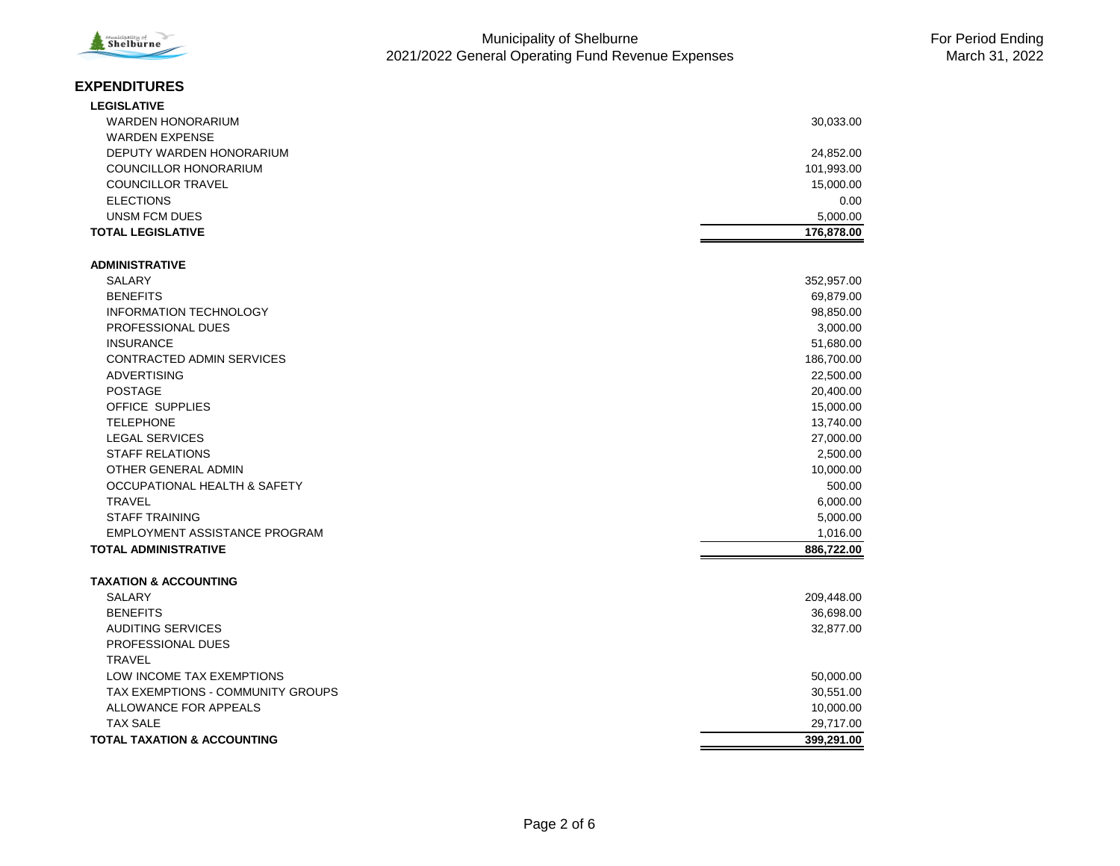

#### **EXPENDITURES**

| <b>LEGISLATIVE</b>                     |            |
|----------------------------------------|------------|
| <b>WARDEN HONORARIUM</b>               | 30,033.00  |
| <b>WARDEN EXPENSE</b>                  |            |
| DEPUTY WARDEN HONORARIUM               | 24,852.00  |
| <b>COUNCILLOR HONORARIUM</b>           | 101,993.00 |
| <b>COUNCILLOR TRAVEL</b>               | 15,000.00  |
| <b>ELECTIONS</b>                       | 0.00       |
| <b>UNSM FCM DUES</b>                   | 5,000.00   |
| <b>TOTAL LEGISLATIVE</b>               | 176,878.00 |
|                                        |            |
| <b>ADMINISTRATIVE</b>                  |            |
| <b>SALARY</b>                          | 352,957.00 |
| <b>BENEFITS</b>                        | 69,879.00  |
| <b>INFORMATION TECHNOLOGY</b>          | 98,850.00  |
| PROFESSIONAL DUES                      | 3,000.00   |
| <b>INSURANCE</b>                       | 51,680.00  |
| CONTRACTED ADMIN SERVICES              | 186,700.00 |
| <b>ADVERTISING</b>                     | 22,500.00  |
| <b>POSTAGE</b>                         | 20,400.00  |
| OFFICE SUPPLIES                        | 15,000.00  |
| <b>TELEPHONE</b>                       | 13,740.00  |
| <b>LEGAL SERVICES</b>                  | 27,000.00  |
| <b>STAFF RELATIONS</b>                 | 2,500.00   |
| OTHER GENERAL ADMIN                    | 10,000.00  |
| OCCUPATIONAL HEALTH & SAFETY           | 500.00     |
| <b>TRAVEL</b>                          | 6,000.00   |
| <b>STAFF TRAINING</b>                  | 5,000.00   |
| EMPLOYMENT ASSISTANCE PROGRAM          | 1,016.00   |
| <b>TOTAL ADMINISTRATIVE</b>            | 886,722.00 |
| <b>TAXATION &amp; ACCOUNTING</b>       |            |
| <b>SALARY</b>                          | 209,448.00 |
| <b>BENEFITS</b>                        | 36,698.00  |
| <b>AUDITING SERVICES</b>               | 32,877.00  |
| PROFESSIONAL DUES                      |            |
| <b>TRAVEL</b>                          |            |
| LOW INCOME TAX EXEMPTIONS              | 50,000.00  |
| TAX EXEMPTIONS - COMMUNITY GROUPS      | 30,551.00  |
| ALLOWANCE FOR APPEALS                  | 10,000.00  |
| <b>TAX SALE</b>                        | 29,717.00  |
| <b>TOTAL TAXATION &amp; ACCOUNTING</b> | 399.291.00 |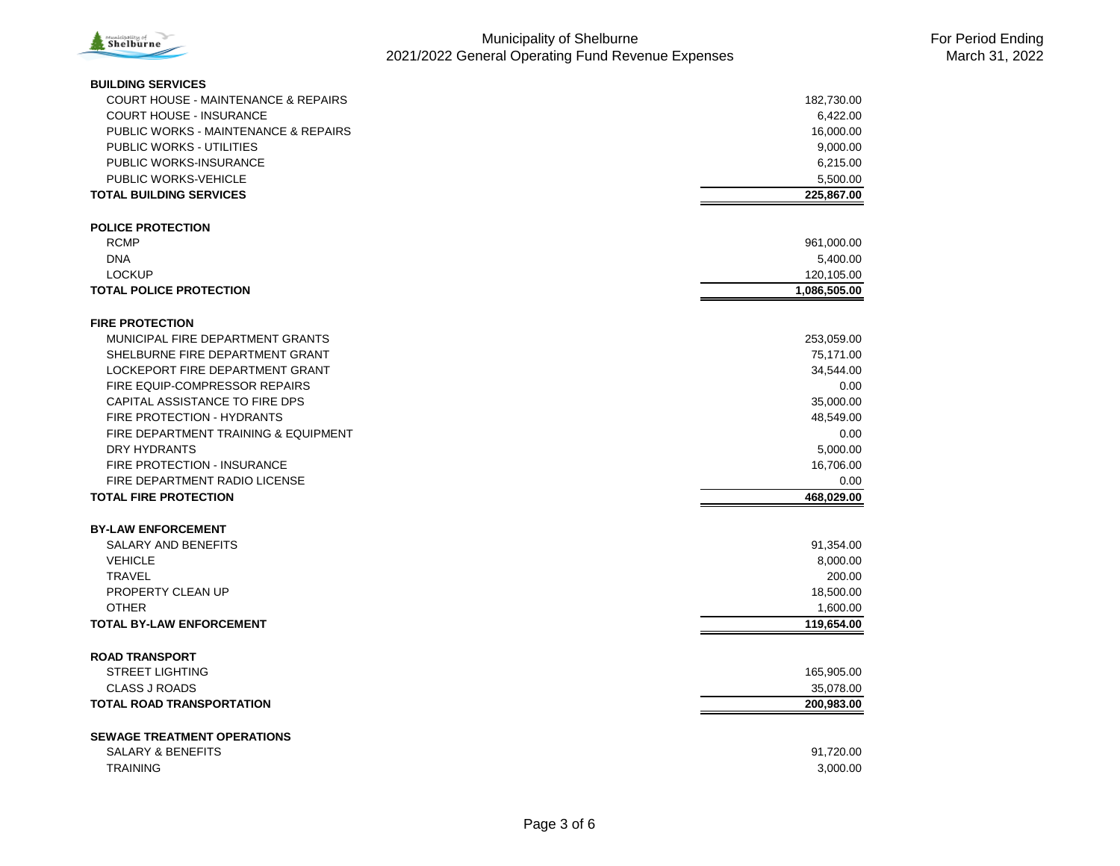

| <b>BUILDING SERVICES</b>                       |              |
|------------------------------------------------|--------------|
| <b>COURT HOUSE - MAINTENANCE &amp; REPAIRS</b> | 182,730.00   |
| <b>COURT HOUSE - INSURANCE</b>                 | 6,422.00     |
| PUBLIC WORKS - MAINTENANCE & REPAIRS           | 16,000.00    |
| <b>PUBLIC WORKS - UTILITIES</b>                | 9,000.00     |
| PUBLIC WORKS-INSURANCE                         | 6,215.00     |
| PUBLIC WORKS-VEHICLE                           | 5,500.00     |
| <b>TOTAL BUILDING SERVICES</b>                 | 225,867.00   |
|                                                |              |
| <b>POLICE PROTECTION</b>                       |              |
| <b>RCMP</b>                                    | 961,000.00   |
| <b>DNA</b>                                     | 5,400.00     |
| <b>LOCKUP</b>                                  | 120,105.00   |
| <b>TOTAL POLICE PROTECTION</b>                 | 1,086,505.00 |
|                                                |              |
| <b>FIRE PROTECTION</b>                         |              |
| MUNICIPAL FIRE DEPARTMENT GRANTS               | 253,059.00   |
| SHELBURNE FIRE DEPARTMENT GRANT                | 75,171.00    |
| LOCKEPORT FIRE DEPARTMENT GRANT                | 34,544.00    |
| FIRE EQUIP-COMPRESSOR REPAIRS                  | 0.00         |
| CAPITAL ASSISTANCE TO FIRE DPS                 | 35,000.00    |
| FIRE PROTECTION - HYDRANTS                     | 48,549.00    |
| FIRE DEPARTMENT TRAINING & EQUIPMENT           | 0.00         |
| DRY HYDRANTS                                   | 5,000.00     |
| FIRE PROTECTION - INSURANCE                    | 16,706.00    |
| FIRE DEPARTMENT RADIO LICENSE                  | 0.00         |
| <b>TOTAL FIRE PROTECTION</b>                   | 468,029.00   |
|                                                |              |
| <b>BY-LAW ENFORCEMENT</b>                      |              |
| <b>SALARY AND BENEFITS</b>                     | 91,354.00    |
| <b>VEHICLE</b>                                 | 8,000.00     |
| <b>TRAVEL</b>                                  | 200.00       |
| PROPERTY CLEAN UP                              | 18,500.00    |
| <b>OTHER</b>                                   | 1.600.00     |
| <b>TOTAL BY-LAW ENFORCEMENT</b>                | 119,654.00   |
|                                                |              |
| <b>ROAD TRANSPORT</b>                          |              |
| <b>STREET LIGHTING</b>                         | 165,905.00   |
| <b>CLASS J ROADS</b>                           | 35,078.00    |
| <b>TOTAL ROAD TRANSPORTATION</b>               | 200,983.00   |
|                                                |              |
| <b>SEWAGE TREATMENT OPERATIONS</b>             |              |
| <b>SALARY &amp; BENEFITS</b>                   | 91,720.00    |
| <b>TRAINING</b>                                | 3,000.00     |
|                                                |              |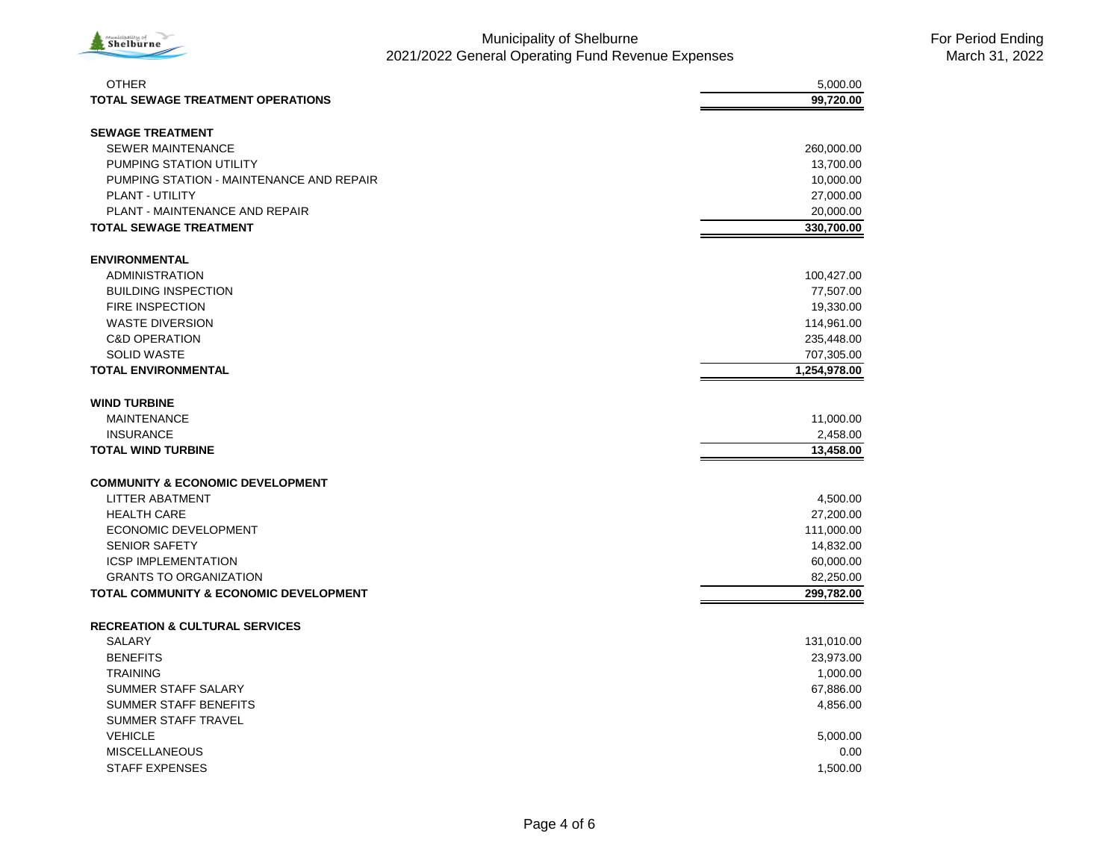

| <b>OTHER</b>                                      | 5,000.00     |
|---------------------------------------------------|--------------|
| <b>TOTAL SEWAGE TREATMENT OPERATIONS</b>          | 99,720.00    |
| <b>SEWAGE TREATMENT</b>                           |              |
| <b>SEWER MAINTENANCE</b>                          | 260,000.00   |
| PUMPING STATION UTILITY                           | 13,700.00    |
| PUMPING STATION - MAINTENANCE AND REPAIR          | 10,000.00    |
| PLANT - UTILITY                                   | 27,000.00    |
| PLANT - MAINTENANCE AND REPAIR                    | 20,000.00    |
| <b>TOTAL SEWAGE TREATMENT</b>                     | 330,700.00   |
|                                                   |              |
| <b>ENVIRONMENTAL</b>                              |              |
| <b>ADMINISTRATION</b>                             | 100,427.00   |
| <b>BUILDING INSPECTION</b>                        | 77,507.00    |
| <b>FIRE INSPECTION</b>                            | 19,330.00    |
| <b>WASTE DIVERSION</b>                            | 114,961.00   |
| <b>C&amp;D OPERATION</b>                          | 235,448.00   |
| <b>SOLID WASTE</b>                                | 707,305.00   |
| <b>TOTAL ENVIRONMENTAL</b>                        | 1,254,978.00 |
|                                                   |              |
| <b>WIND TURBINE</b>                               |              |
| <b>MAINTENANCE</b>                                | 11,000.00    |
| <b>INSURANCE</b>                                  | 2,458.00     |
| <b>TOTAL WIND TURBINE</b>                         | 13,458.00    |
| <b>COMMUNITY &amp; ECONOMIC DEVELOPMENT</b>       |              |
| LITTER ABATMENT                                   | 4,500.00     |
| <b>HEALTH CARE</b>                                | 27,200.00    |
| ECONOMIC DEVELOPMENT                              | 111,000.00   |
| <b>SENIOR SAFETY</b>                              | 14,832.00    |
| <b>ICSP IMPLEMENTATION</b>                        | 60,000.00    |
| <b>GRANTS TO ORGANIZATION</b>                     | 82,250.00    |
| <b>TOTAL COMMUNITY &amp; ECONOMIC DEVELOPMENT</b> | 299,782.00   |
|                                                   |              |
| <b>RECREATION &amp; CULTURAL SERVICES</b>         |              |
| SALARY                                            | 131,010.00   |
| <b>BENEFITS</b>                                   | 23,973.00    |
| <b>TRAINING</b>                                   | 1,000.00     |
| SUMMER STAFF SALARY                               | 67,886.00    |
| <b>SUMMER STAFF BENEFITS</b>                      | 4,856.00     |
| SUMMER STAFF TRAVEL                               |              |
| <b>VEHICLE</b>                                    | 5,000.00     |
| <b>MISCELLANEOUS</b>                              | 0.00         |
| <b>STAFF EXPENSES</b>                             | 1,500.00     |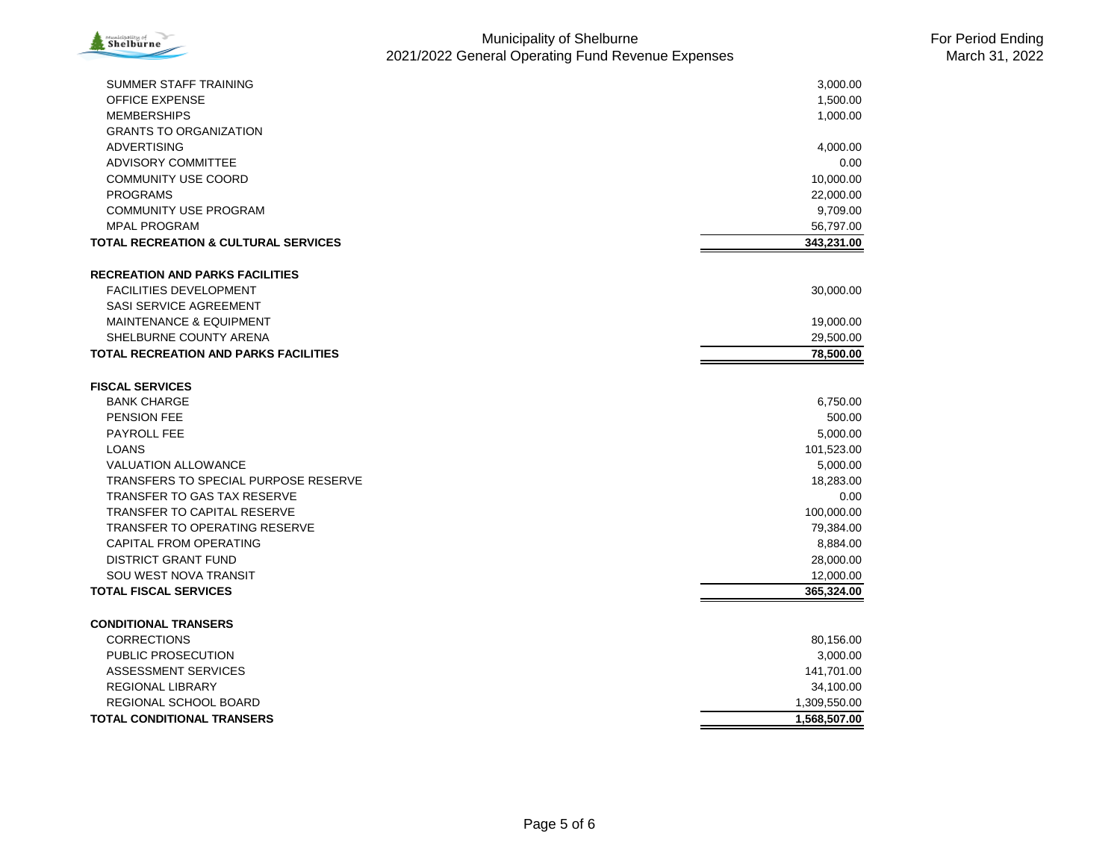

| SUMMER STAFF TRAINING<br><b>OFFICE EXPENSE</b>  | 3,000.00     |
|-------------------------------------------------|--------------|
| <b>MEMBERSHIPS</b>                              | 1,500.00     |
|                                                 | 1,000.00     |
| <b>GRANTS TO ORGANIZATION</b>                   |              |
| <b>ADVERTISING</b>                              | 4,000.00     |
| <b>ADVISORY COMMITTEE</b>                       | 0.00         |
| <b>COMMUNITY USE COORD</b>                      | 10,000.00    |
| <b>PROGRAMS</b>                                 | 22,000.00    |
| <b>COMMUNITY USE PROGRAM</b>                    | 9,709.00     |
| <b>MPAL PROGRAM</b>                             | 56,797.00    |
| <b>TOTAL RECREATION &amp; CULTURAL SERVICES</b> | 343,231.00   |
| <b>RECREATION AND PARKS FACILITIES</b>          |              |
| <b>FACILITIES DEVELOPMENT</b>                   | 30,000.00    |
| SASI SERVICE AGREEMENT                          |              |
| <b>MAINTENANCE &amp; EQUIPMENT</b>              | 19,000.00    |
| SHELBURNE COUNTY ARENA                          | 29,500.00    |
| <b>TOTAL RECREATION AND PARKS FACILITIES</b>    | 78,500.00    |
| <b>FISCAL SERVICES</b>                          |              |
| <b>BANK CHARGE</b>                              | 6,750.00     |
| PENSION FEE                                     | 500.00       |
| <b>PAYROLL FEE</b>                              | 5,000.00     |
| <b>LOANS</b>                                    | 101,523.00   |
| <b>VALUATION ALLOWANCE</b>                      | 5,000.00     |
| TRANSFERS TO SPECIAL PURPOSE RESERVE            | 18,283.00    |
| <b>TRANSFER TO GAS TAX RESERVE</b>              | 0.00         |
| <b>TRANSFER TO CAPITAL RESERVE</b>              | 100,000.00   |
| <b>TRANSFER TO OPERATING RESERVE</b>            | 79,384.00    |
| CAPITAL FROM OPERATING                          | 8,884.00     |
| <b>DISTRICT GRANT FUND</b>                      | 28,000.00    |
| <b>SOU WEST NOVA TRANSIT</b>                    | 12,000.00    |
| <b>TOTAL FISCAL SERVICES</b>                    | 365,324.00   |
|                                                 |              |
| <b>CONDITIONAL TRANSERS</b>                     |              |
| <b>CORRECTIONS</b>                              | 80,156.00    |
| PUBLIC PROSECUTION                              | 3,000.00     |
| <b>ASSESSMENT SERVICES</b>                      | 141,701.00   |
| <b>REGIONAL LIBRARY</b>                         | 34,100.00    |
| <b>REGIONAL SCHOOL BOARD</b>                    | 1,309,550.00 |
| <b>TOTAL CONDITIONAL TRANSERS</b>               | 1,568,507.00 |